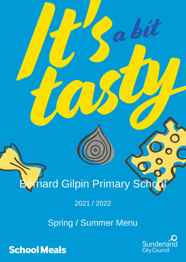## **Sernard Gilpin Primary School 2021 / 2022**<br>Spring / Summer Menu<br>Sunderlain School Meals<br>Sunderlain City Council

Robit

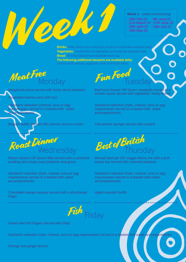## **Week 1** - week commencing

· 28th Feb 22 · 6th June 22 · 21st March 22 27th June 22 · 25th April 22 · 18th July 22 · 16th May 22

DE Milk, water and a selection of juice or r **Drinks** - Milk, water and a selection of juice or milkshake available daily **Vegetables** - A selection of vegetables and salad bar available daily **Bread** - Freshly baked bread available each day **The following additional desserts are available daily:**  Cheese and crackers, yoghurts, fresh fruit/fruit salad

Meat Free Monday

Margherita pizza served with herby diced potatoes

Vegetable keema curry with rice

Sandwich selection (cheese, tuna or egg hayonnaise) served in a basket with salad accompaniments

Belgain waffle served with cherries and ice cream



Roast chicken OR Quorn fillet served with a yorkshire pudding and crispy roast potatoes and gravy

Sandwich selection (ham, cheese, tuna or egg mayonnaise) served in a basket with salad accompaniments

Chocolate orange mousse served with a shortbread finger

Fun Food **Tuesday** 

Beef and cheese OR Quorn meatballs served in a tomato sauce served with tagliatelle / herby bread

Sandwich selection (ham, cheese, tuna or egg mayonnaise) served in a basket with salad accompaniments

Clementine sponge served with custard



Minced beef pie OR Veggie Mince Pie with a puff pastry top served with creamed potatoes

Sandwich selection (ham, cheese, tuna or egg mayonnaise) served in a basket with salad accompaniments

Apple streusel muffin



Gluten free fish fingers served with chips

Sandwich selection (ham, cheese, tuna or egg mayonnaise) served in a basket with salad accompaniments

Orange and ginger biscuit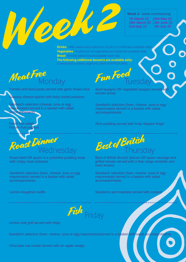**Week 2** - week commencing

· 7th March 22 23rd May 22 · 28th March 22 13th June 22 · 2nd May 22 4th July 22

DE LA COMPANY COMPUTER PRINTER MILK, water and a selection of juice or milk **Drinks** - Milk, water and a selection of juice or milkshake available daily **Vegetables** - A selection of vegetables and salad bar available daily **Bread** - Freshly baked bread available each day **The following additional desserts are available daily:**  Cheese and crackers, yoghurts, fresh fruit/fruit salad

Meat Free Monday

Tomato and basil pasta served with garlic bread slice

Savoury cheese quiche with baby boiled potatoes

Sandwich selection (cheese, tuna or egg mayonnaise) served in a basket with salad ccompaniments

**Fresh fruit salad** Frozen fruit yoghurt



Roast beef OR quorn in a yorkshire pudding wrap with crispy roast potatoes

Sandwich selection (ham, cheese, tuna or egg mayonnaise) served in a basket with salad accompaniments

Lemon doughnut muffin

Fun Food **Tuesday** 

Beef lasagne OR vegetable lasagne served wi tomato bread

Sandwich selection (ham, cheese, tuna or egg mayonnaise) served in a basket with salad accompaniments

Rice pudding served with fruity flapjack finger



Best of British Brunch (bacon OR quorn sausage and grilled tomato served with a free range omelette and hash brown)

Sandwich selection (ham, cheese, tuna or egg mayonnaise) served in a basket with salad accompaniments

Stawberry jam traybake served with custard



Lemon sole grill served with chips

Sandwich selection (ham, cheese, tuna or egg mayonnaise)served in a basket with salad accompaniments

Chocolate oat cookie served with an apple wedge